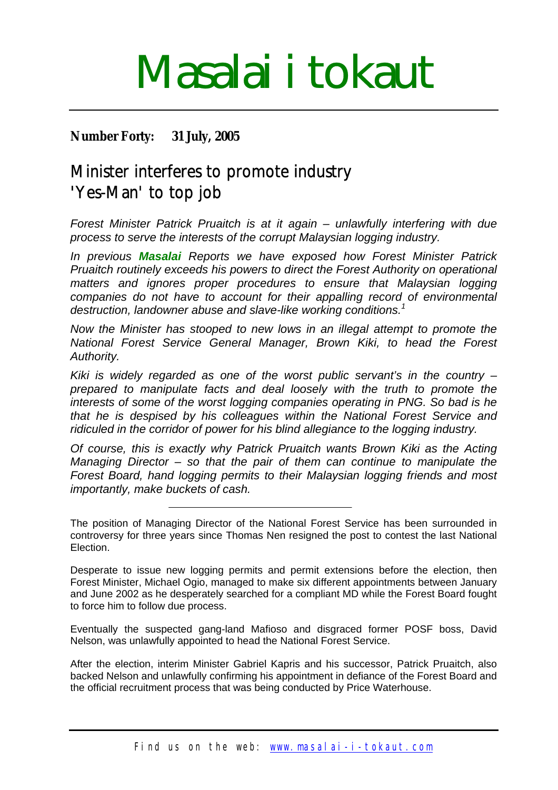# Masalai i tokaut

## **Number Forty: 31 July, 2005**

## Minister interferes to promote industry 'Yes-Man' to top job

*Forest Minister Patrick Pruaitch is at it again – unlawfully interfering with due process to serve the interests of the corrupt Malaysian logging industry.*

*In previous Masalai Reports we have exposed how Forest Minister Patrick Pruaitch routinely exceeds his powers to direct the Forest Authority on operational matters and ignores proper procedures to ensure that Malaysian logging companies do not have to account for their appalling record of environmental destruction, landowner abuse and slave-like working conditions.[1](#page-3-0)*

*Now the Minister has stooped to new lows in an illegal attempt to promote the National Forest Service General Manager, Brown Kiki, to head the Forest Authority.*

*Kiki is widely regarded as one of the worst public servant's in the country – prepared to manipulate facts and deal loosely with the truth to promote the interests of some of the worst logging companies operating in PNG. So bad is he that he is despised by his colleagues within the National Forest Service and ridiculed in the corridor of power for his blind allegiance to the logging industry.*

*Of course, this is exactly why Patrick Pruaitch wants Brown Kiki as the Acting Managing Director – so that the pair of them can continue to manipulate the Forest Board, hand logging permits to their Malaysian logging friends and most importantly, make buckets of cash.*

The position of Managing Director of the National Forest Service has been surrounded in controversy for three years since Thomas Nen resigned the post to contest the last National Election.

Desperate to issue new logging permits and permit extensions before the election, then Forest Minister, Michael Ogio, managed to make six different appointments between January and June 2002 as he desperately searched for a compliant MD while the Forest Board fought to force him to follow due process.

Eventually the suspected gang-land Mafioso and disgraced former POSF boss, David Nelson, was unlawfully appointed to head the National Forest Service.

After the election, interim Minister Gabriel Kapris and his successor, Patrick Pruaitch, also backed Nelson and unlawfully confirming his appointment in defiance of the Forest Board and the official recruitment process that was being conducted by Price Waterhouse.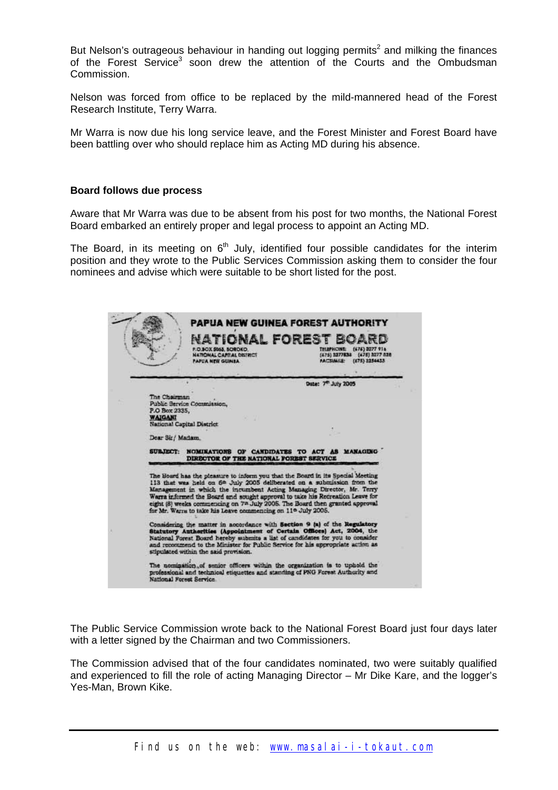But Nelson's outrageous behaviour in handing out logging permits<sup>[2](#page-3-1)</sup> and milking the finances of the Forest Service<sup>3</sup> soon drew the attention of the Courts and the Ombudsman Commission.

Nelson was forced from office to be replaced by the mild-mannered head of the Forest Research Institute, Terry Warra.

Mr Warra is now due his long service leave, and the Forest Minister and Forest Board have been battling over who should replace him as Acting MD during his absence.

### **Board follows due process**

Aware that Mr Warra was due to be absent from his post for two months, the National Forest Board embarked an entirely proper and legal process to appoint an Acting MD.

The Board, in its meeting on  $6<sup>th</sup>$  July, identified four possible candidates for the interim position and they wrote to the Public Services Commission asking them to consider the four nominees and advise which were suitable to be short listed for the post.

|                  | <b>NATIONAL CAPITAL DISTRICT</b><br><b>PAPUA NEW GUINEA</b>                                                                                              | <b>NATIONAL FOREST BOA</b><br>(676) 3277 916<br>THEFHONE<br>(675) 3277838 (475) 3277 538<br>(675) 3254433<br><b>FACSIMILE:</b>                                                                                                                                                                                                  |
|------------------|----------------------------------------------------------------------------------------------------------------------------------------------------------|---------------------------------------------------------------------------------------------------------------------------------------------------------------------------------------------------------------------------------------------------------------------------------------------------------------------------------|
|                  |                                                                                                                                                          | Date: 7 <sup>m</sup> July 2005                                                                                                                                                                                                                                                                                                  |
| The Chairman     |                                                                                                                                                          |                                                                                                                                                                                                                                                                                                                                 |
| P.O Box 2335,    | Public Service Commission.                                                                                                                               |                                                                                                                                                                                                                                                                                                                                 |
| <b>WAIGANI</b>   | National Capital District                                                                                                                                |                                                                                                                                                                                                                                                                                                                                 |
| Dear Sir/ Madam. |                                                                                                                                                          |                                                                                                                                                                                                                                                                                                                                 |
|                  | DIRECTOR OF THE NATIONAL FOREST SERVICE                                                                                                                  | SUBJECT: NOMINATIONS OF CANDIDATES TO ACT AS MANAGUIG                                                                                                                                                                                                                                                                           |
|                  |                                                                                                                                                          | The Board has the pleasure to inform you that the Board in its Special Meeting<br>113 that was held on 6 <sup>th</sup> July 2005 deliberated on a submission from the<br>Management in which the incumbent Acting Managing Director, Mr. Terry<br>Warra informed the Board and sought approval to take his Recreation Leave for |
|                  | eight (8) weeks commencing on 7th July 2005. The Board then granted approval<br>for Mr. Warra to take his Leave commencing on 11 <sup>e</sup> July 2005. |                                                                                                                                                                                                                                                                                                                                 |
|                  | stipulated within the said provision.                                                                                                                    | Considering the matter in accordance with Section 9 (a) of the Regulatory<br>Statutory Authorities (Appointment of Certain Offices) Act, 2004, the<br>National Forest Board hereby submits a list of candidates for you to consider<br>and recommend to the Minister for Public Service for his appropriate action as           |

The Public Service Commission wrote back to the National Forest Board just four days later with a letter signed by the Chairman and two Commissioners.

The Commission advised that of the four candidates nominated, two were suitably qualified and experienced to fill the role of acting Managing Director – Mr Dike Kare, and the logger's Yes-Man, Brown Kike.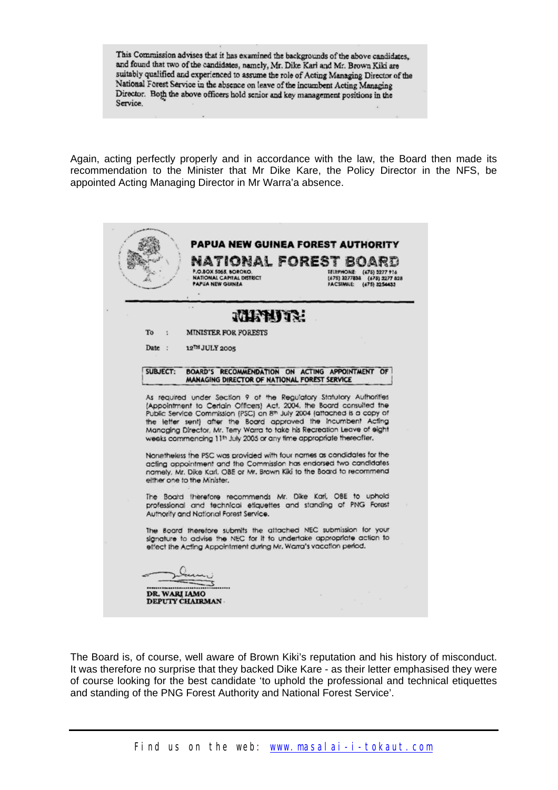This Commission advises that it has examined the backgrounds of the above candidates. and found that two of the candidates, namely, Mr. Dike Kari and Mr. Brown Kiki are suitably qualified and experienced to assume the role of Acting Managing Director of the National Forest Service in the absence on leave of the incumbent Acting Managing Director. Both the above officers hold senior and key management positions in the Service.

Again, acting perfectly properly and in accordance with the law, the Board then made its recommendation to the Minister that Mr Dike Kare, the Policy Director in the NFS, be appointed Acting Managing Director in Mr Warra'a absence.

|                 | <b>PAPUA NEW GUINEA FOREST AUTHORITY</b><br>IONAL FOREST<br>P.O.BOX 5065, BOROKO.<br>NATIONAL CAPITAL DISTRICT<br><b>PAPUA NEW GUINEA</b>                                                                                                                                                                                                                                                                                                                                                                                                                                                                                                                                                                                  | <b>IELEPHONE:</b><br>(475) 3277 916<br>(675) 3277838 (675) 3277 828<br>FACSIMILE: (675) 3254433 |
|-----------------|----------------------------------------------------------------------------------------------------------------------------------------------------------------------------------------------------------------------------------------------------------------------------------------------------------------------------------------------------------------------------------------------------------------------------------------------------------------------------------------------------------------------------------------------------------------------------------------------------------------------------------------------------------------------------------------------------------------------------|-------------------------------------------------------------------------------------------------|
|                 | MINUTY.                                                                                                                                                                                                                                                                                                                                                                                                                                                                                                                                                                                                                                                                                                                    |                                                                                                 |
| To              | <b>MINISTER FOR FORESTS</b>                                                                                                                                                                                                                                                                                                                                                                                                                                                                                                                                                                                                                                                                                                |                                                                                                 |
| Date:           | 12 <sup>TH</sup> JULY 2005                                                                                                                                                                                                                                                                                                                                                                                                                                                                                                                                                                                                                                                                                                 |                                                                                                 |
| <b>SUBJECT:</b> | BOARD'S RECOMMENDATION ON ACTING APPOINTMENT OF<br>MANAGING DIRECTOR OF NATIONAL FOREST SERVICE                                                                                                                                                                                                                                                                                                                                                                                                                                                                                                                                                                                                                            |                                                                                                 |
|                 | Managing Director, Mr. Teny Warra to take his Recreation Leave of eight                                                                                                                                                                                                                                                                                                                                                                                                                                                                                                                                                                                                                                                    |                                                                                                 |
|                 | weeks commencing 11th July 2005 or any time appropriate thereofter.<br>Nonetheless the PSC was provided with four names as candidates for the<br>acting appointment and the Commission has endorsed two candidates<br>namely, Mr. Dike Karl, OBE or Mr. Brown Kiki to the Board to recommend<br>either one to the Minister.<br>The Board therefore recommends Mr. Dike Kari, OBE to uphold<br>professional and technical etiquettes and standing of PNG Forest<br>Authority and National Forest Service.<br>The Board therefore submits the attached NEC submission for your<br>signature to advise the NEC for it to undertake appropriate action to<br>effect the Acting Appointment during Mr. Warra's vacation period. |                                                                                                 |

The Board is, of course, well aware of Brown Kiki's reputation and his history of misconduct. It was therefore no surprise that they backed Dike Kare - as their letter emphasised they were of course looking for the best candidate 'to uphold the professional and technical etiquettes and standing of the PNG Forest Authority and National Forest Service'.